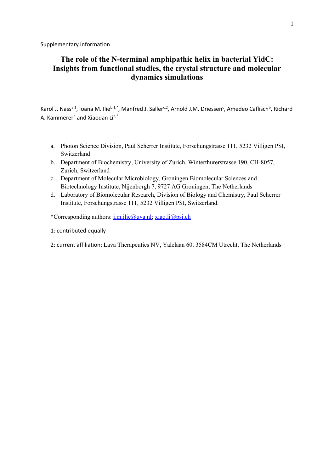# **The role of the N-terminal amphipathic helix in bacterial YidC: Insights from functional studies, the crystal structure and molecular dynamics simulations**

Karol J. Nass<sup>a,1</sup>, Ioana M. Ilie<sup>b,1,\*</sup>, Manfred J. Saller<sup>c,2</sup>, Arnold J.M. Driessen<sup>c</sup>, Amedeo Caflisch<sup>b</sup>, Richard A. Kammerer<sup>d</sup> and Xiaodan Li<sup>d,\*</sup>

- a. Photon Science Division, Paul Scherrer Institute, Forschungstrasse 111, 5232 Villigen PSI, Switzerland
- b. Department of Biochemistry, University of Zurich, Winterthurerstrasse 190, CH-8057, Zurich, Switzerland
- c. Department of Molecular Microbiology, Groningen Biomolecular Sciences and Biotechnology Institute, Nijenborgh 7, 9727 AG Groningen, The Netherlands
- d. Laboratory of Biomolecular Research, Division of Biology and Chemistry, Paul Scherrer Institute, Forschungstrasse 111, 5232 Villigen PSI, Switzerland.

\*Corresponding authors: i.m.ilie@uva.nl; xiao.li@psi.ch

1: contributed equally

2: current affiliation: Lava Therapeutics NV, Yalelaan 60, 3584CM Utrecht, The Netherlands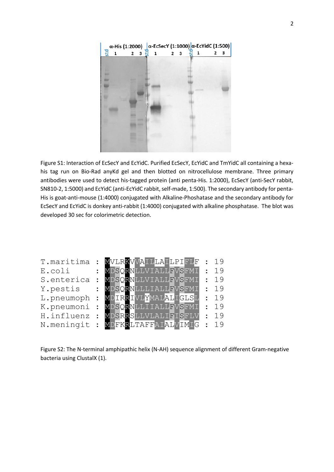

Figure S1: Interaction of EcSecY and EcYidC. Purified EcSecY, EcYidC and TmYidC all containing a hexahis tag run on Bio-Rad anyKd gel and then blotted on nitrocellulose membrane. Three primary antibodies were used to detect his-tagged protein (anti penta-His. 1:2000), EcSecY (anti-SecY rabbit, SN810-2, 1:5000) and EcYidC (anti-EcYidC rabbit, self-made, 1:500). The secondary antibody for penta-His is goat-anti-mouse (1:4000) conjugated with Alkaline-Phoshatase and the secondary antibody for EcSecY and EcYidC is donkey anti-rabbit (1:4000) conjugated with alkaline phosphatase. The blot was developed 30 sec for colorimetric detection.

| T.maritima | MVLRKVVAILLAILPIFLF | : 19       |
|------------|---------------------|------------|
| E.coli     | MDSORNLLVIALLFVSFMI | : 19       |
| S.enterica | MDSORNLLVIALLFVSFMI | : 19       |
| Y.pestis   | MDSQRNLLLIALLFVSFMI | : 19       |
| L.pneumoph | MDIRRIVLYMALALIGLSL | : 19       |
| K.pneumoni | MDSQRNLLIIALLFVSFMI | : 19       |
| H.influenz | MDSRRSLLVLALIFISFLV | : 19       |
| N.meningit | MDFKRLTAFFAIALVIMIG | $\cdot$ 19 |

Figure S2: The N-terminal amphipathic helix (N-AH) sequence alignment of different Gram-negative bacteria using ClustalX (1).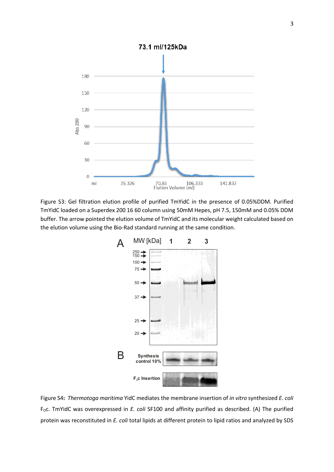

Figure S3: Gel filtration elution profile of purified TmYidC in the presence of 0.05%DDM. Purified TmYidC loaded on a Superdex 200 16 60 column using 50mM Hepes, pH 7.5, 150mM and 0.05% DDM buffer. The arrow pointed the elution volume of TmYidC and its molecular weight calculated based on the elution volume using the Bio-Rad standard running at the same condition.



Figure S4**:** *Thermotoga maritima* YidC mediates the membrane insertion of *in vitro* synthesized *E. coli* F<sub>o</sub>c. TmYidC was overexpressed in *E. coli* SF100 and affinity purified as described. (A) The purified protein was reconstituted in *E. coli* total lipids at different protein to lipid ratios and analyzed by SDS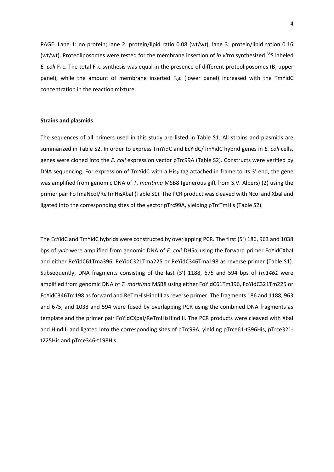PAGE. Lane 1: no protein; lane 2: protein/lipid ratio 0.08 (wt/wt), lane 3: protein/lipid ration 0.16 (wt/wt). Proteoliposomes were tested for the membrane insertion of *in vitro* synthesized 35S labeled *E. coli* F<sub>o</sub>c. The total F<sub>o</sub>c synthesis was equal in the presence of different proteoliposomes (B, upper panel), while the amount of membrane inserted  $F_{\rm OC}$  (lower panel) increased with the TmYidC concentration in the reaction mixture.

### **Strains and plasmids**

The sequences of all primers used in this study are listed in Table S1. All strains and plasmids are summarized in Table S2. In order to express TmYidC and EcYidC/TmYidC hybrid genes in *E. coli* cells, genes were cloned into the *E. coli* expression vector pTrc99A (Table S2). Constructs were verified by DNA sequencing. For expression of TmYidC with a His $_6$  tag attached in frame to its 3' end, the gene was amplified from genomic DNA of *T. maritima* MSB8 (generous gift from S.V. Albers) (2) using the primer pair FoTmaNcoI/ReTmHisXbaI (Table S1). The PCR product was cleaved with NcoI and XbaI and ligated into the corresponding sites of the vector pTrc99A, yielding pTrcTmHis (Table S2).

The EcYidC and TmYidC hybrids were constructed by overlapping PCR. The first (5') 186, 963 and 1038 bps of *yidc* were amplified from genomic DNA of *E. coli* DH5α using the forward primer FoYidCXbaI and either ReYidC61Tma396, ReYidC321Tma225 or ReYidC346Tma198 as reverse primer (Table S1). Subsequently, DNA fragments consisting of the last (3') 1188, 675 and 594 bps of *tm1461* were amplified from genomic DNA of *T. maritima* MSB8 using either FoYidC61Tm396, FoYidC321Tm225 or FoYidC346Tm198 as forward and ReTmHisHindIII as reverse primer. The fragments 186 and 1188, 963 and 675, and 1038 and 594 were fused by overlapping PCR using the combined DNA fragments as template and the primer pair FoYidCXbaI/ReTmHisHindIII. The PCR products were cleaved with XbaI and HindIII and ligated into the corresponding sites of pTrc99A, yielding pTrce61-t396His, pTrce321 t225His and pTrce346-t198His.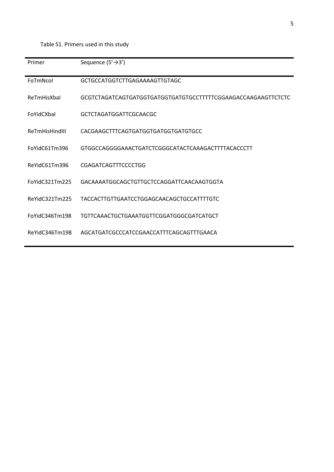# Table S1. Primers used in this study

| Primer         | Sequence $(5' \rightarrow 3')$                                |
|----------------|---------------------------------------------------------------|
| FoTmNcol       | GCTGCCATGGTCTTGAGAAAAGTTGTAGC                                 |
| ReTmHisXbal    | GCGTCTAGATCAGTGATGGTGATGGTGATGTGCCTTTTTCGGAAGACCAAGAAGTTCTCTC |
| FoYidCXbal     | <b>GCTCTAGATGGATTCGCAACGC</b>                                 |
| ReTmHisHindIII | CACGAAGCTTTCAGTGATGGTGATGGTGATGTGCC                           |
| FoYidC61Tm396  | GTGGCCAGGGGAAACTGATCTCGGGCATACTCAAAGACTTTTACACCCTT            |
| ReYidC61Tm396  | CGAGATCAGTTTCCCCTGG                                           |
| FoYidC321Tm225 | GACAAAATGGCAGCTGTTGCTCCAGGATTCAACAAGTGGTA                     |
| ReYidC321Tm225 | TACCACTTGTTGAATCCTGGAGCAACAGCTGCCATTTTGTC                     |
| FoYidC346Tm198 | TGTTCAAACTGCTGAAATGGTTCGGATGGGCGATCATGCT                      |
| ReYidC346Tm198 | AGCATGATCGCCCATCCGAACCATTTCAGCAGTTTGAACA                      |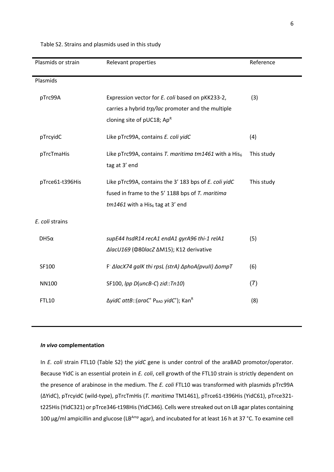| Plasmids or strain | Relevant properties                                                                           | Reference  |
|--------------------|-----------------------------------------------------------------------------------------------|------------|
|                    |                                                                                               |            |
| Plasmids           |                                                                                               |            |
| pTrc99A            | Expression vector for E. coli based on pKK233-2,                                              | (3)        |
|                    | carries a hybrid trp/lac promoter and the multiple                                            |            |
|                    | cloning site of $pUC18$ ; Ap <sup>R</sup>                                                     |            |
|                    |                                                                                               |            |
| pTrcyidC           | Like pTrc99A, contains E. coli yidC                                                           | (4)        |
|                    |                                                                                               |            |
| pTrcTmaHis         | Like pTrc99A, contains T. maritima tm1461 with a His $_6$                                     | This study |
|                    | tag at 3' end                                                                                 |            |
|                    |                                                                                               |            |
| pTrce61-t396His    | Like pTrc99A, contains the 3' 183 bps of E. coli yidC                                         | This study |
|                    | fused in frame to the 5' 1188 bps of T. maritima                                              |            |
|                    | $tm1461$ with a His <sub>6</sub> tag at 3' end                                                |            |
|                    |                                                                                               |            |
| E. coli strains    |                                                                                               |            |
|                    |                                                                                               |            |
| $DH5\alpha$        | supE44 hsdR14 recA1 endA1 gyrA96 thi-1 relA1                                                  | (5)        |
|                    | ΔlacU169 (Φ80lacΖ ΔM15); K12 derivative                                                       |            |
| SF100              | F ΔlacX74 galK thi rpsL (strA) ΔphoA(pvuII) ΔompT                                             | (6)        |
|                    |                                                                                               |            |
| <b>NN100</b>       | SF100, Ipp D(uncB-C) zid::Tn10)                                                               | (7)        |
|                    |                                                                                               |            |
| <b>FTL10</b>       | $\Delta$ yidC attB::(araC <sup>+</sup> P <sub>BAD</sub> yidC <sup>+</sup> ); Kan <sup>R</sup> | (8)        |
|                    |                                                                                               |            |

#### Table S2. Strains and plasmids used in this study

## *In vivo* **complementation**

In *E. coli* strain FTL10 (Table S2) the *yidC* gene is under control of the araBAD promotor/operator. Because YidC is an essential protein in *E. coli*, cell growth of the FTL10 strain is strictly dependent on the presence of arabinose in the medium. The *E. coli* FTL10 was transformed with plasmids pTrc99A (ΔYidC), pTrcyidC (wild-type), pTrcTmHis (*T. maritima* TM1461), pTrce61-t396His (YidC61), pTrce321 t225His (YidC321) or pTrce346-t198His (YidC346). Cells were streaked out on LB agar plates containing 100 μg/ml ampicillin and glucose (LB<sup>Amp</sup> agar), and incubated for at least 16 h at 37 °C. To examine cell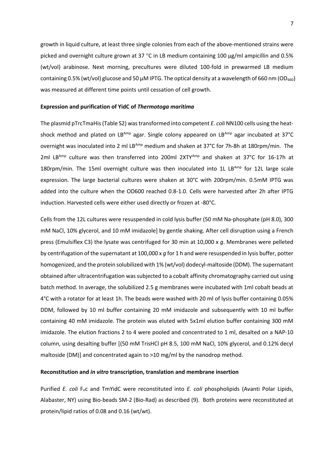growth in liquid culture, at least three single colonies from each of the above-mentioned strains were picked and overnight culture grown at 37 °C in LB medium containing 100 µg/ml ampicillin and 0.5% (wt/vol) arabinose. Next morning, precultures were diluted 100-fold in prewarmed LB medium containing 0.5% (wt/vol) glucose and 50  $\mu$ M IPTG. The optical density at a wavelength of 660 nm (OD<sub>660</sub>) was measured at different time points until cessation of cell growth.

#### **Expression and purification of YidC of** *Thermotoga maritima*

The plasmid pTrcTmaHis (Table S2) was transformed into competent *E. coli* NN100 cells using the heatshock method and plated on LBAmp agar. Single colony appeared on LBAmp agar incubated at 37°C overnight was inoculated into 2 ml LBAmp medium and shaken at 37°C for 7h-8h at 180rpm/min. The 2ml LB<sup>Amp</sup> culture was then transferred into 200ml  $2XTY^{Amp}$  and shaken at 37°C for 16-17h at 180rpm/min. The 15ml overnight culture was then inoculated into 1L LBAmp for 12L large scale expression. The large bacterial cultures were shaken at 30°C with 200rpm/min. 0.5mM IPTG was added into the culture when the OD600 reached 0.8-1.0. Cells were harvested after 2h after IPTG induction. Harvested cells were either used directly or frozen at -80°C.

Cells from the 12L cultures were resuspended in cold lysis buffer (50 mM Na-phosphate (pH 8.0), 300 mM NaCl, 10% glycerol, and 10 mM imidazole] by gentle shaking. After cell disruption using a French press (Emulsiflex C3) the lysate was centrifuged for 30 min at 10,000 x *g*. Membranes were pelleted by centrifugation of the supernatant at 100,000 x *g* for 1 h and were resuspended in lysis buffer, potter homogenized, and the protein solubilized with 1% (wt/vol) dodecyl-maltoside (DDM). The supernatant obtained after ultracentrifugation was subjected to a cobalt affinity chromatography carried out using batch method. In average, the solubilized 2.5 g membranes were incubated with 1ml cobalt beads at 4°C with a rotator for at least 1h. The beads were washed with 20 ml of lysis buffer containing 0.05% DDM, followed by 10 ml buffer containing 20 mM imidazole and subsequently with 10 ml buffer containing 40 mM imidazole. The protein was eluted with 5x1ml elution buffer containing 300 mM imidazole. The elution fractions 2 to 4 were pooled and concentrated to 1 ml, desalted on a NAP-10 column, using desalting buffer [(50 mM TrisHCl pH 8.5, 100 mM NaCl, 10% glycerol, and 0.12% decyl maltoside (DM)] and concentrated again to >10 mg/ml by the nanodrop method.

## **Reconstitution and** *in vitro* **transcription, translation and membrane insertion**

Purified *E. coli* F<sub>o</sub>c and TmYidC were reconstituted into *E. coli* phospholipids (Avanti Polar Lipids, Alabaster, NY) using Bio-beads SM-2 (Bio-Rad) as described (9). Both proteins were reconstituted at protein/lipid ratios of 0.08 and 0.16 (wt/wt).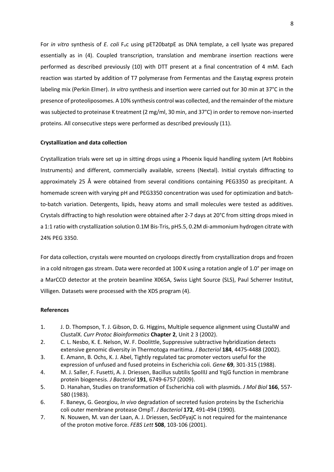For *in vitro* synthesis of *E. coli* F<sub>o</sub>c using pET20batpE as DNA template, a cell lysate was prepared essentially as in (4). Coupled transcription, translation and membrane insertion reactions were performed as described previously (10) with DTT present at a final concentration of 4 mM. Each reaction was started by addition of T7 polymerase from Fermentas and the Easytag express protein labeling mix (Perkin Elmer). *In vitro* synthesis and insertion were carried out for 30 min at 37°C in the presence of proteoliposomes. A 10% synthesis control was collected, and the remainder of the mixture was subjected to proteinase K treatment (2 mg/ml, 30 min, and 37°C) in order to remove non-inserted proteins. All consecutive steps were performed as described previously (11).

## **Crystallization and data collection**

Crystallization trials were set up in sitting drops using a Phoenix liquid handling system (Art Robbins Instruments) and different, commercially available, screens (Nextal). Initial crystals diffracting to approximately 25 Å were obtained from several conditions containing PEG3350 as precipitant. A homemade screen with varying pH and PEG3350 concentration was used for optimization and batchto-batch variation. Detergents, lipids, heavy atoms and small molecules were tested as additives. Crystals diffracting to high resolution were obtained after 2-7 days at 20°C from sitting drops mixed in a 1:1 ratio with crystallization solution 0.1M Bis-Tris, pH5.5, 0.2M di-ammonium hydrogen citrate with 24% PEG 3350.

For data collection, crystals were mounted on cryoloops directly from crystallization drops and frozen in a cold nitrogen gas stream. Data were recorded at 100 K using a rotation angle of 1.0° per image on a MarCCD detector at the protein beamline X06SA, Swiss Light Source (SLS), Paul Scherrer Institut, Villigen. Datasets were processed with the XDS program (4).

#### **References**

- 1. J. D. Thompson, T. J. Gibson, D. G. Higgins, Multiple sequence alignment using ClustalW and ClustalX. *Curr Protoc Bioinformatics* **Chapter 2**, Unit 2 3 (2002).
- 2. C. L. Nesbo, K. E. Nelson, W. F. Doolittle, Suppressive subtractive hybridization detects extensive genomic diversity in Thermotoga maritima. *J Bacteriol* **184**, 4475-4488 (2002).
- 3. E. Amann, B. Ochs, K. J. Abel, Tightly regulated tac promoter vectors useful for the expression of unfused and fused proteins in Escherichia coli. *Gene* **69**, 301-315 (1988).
- 4. M. J. Saller, F. Fusetti, A. J. Driessen, Bacillus subtilis SpoIIIJ and YqjG function in membrane protein biogenesis. *J Bacteriol* **191**, 6749-6757 (2009).
- 5. D. Hanahan, Studies on transformation of Escherichia coli with plasmids. *J Mol Biol* **166**, 557- 580 (1983).
- 6. F. Baneyx, G. Georgiou, *In vivo* degradation of secreted fusion proteins by the Escherichia coli outer membrane protease OmpT. *J Bacteriol* **172**, 491-494 (1990).
- 7. N. Nouwen, M. van der Laan, A. J. Driessen, SecDFyajC is not required for the maintenance of the proton motive force. *FEBS Lett* **508**, 103-106 (2001).